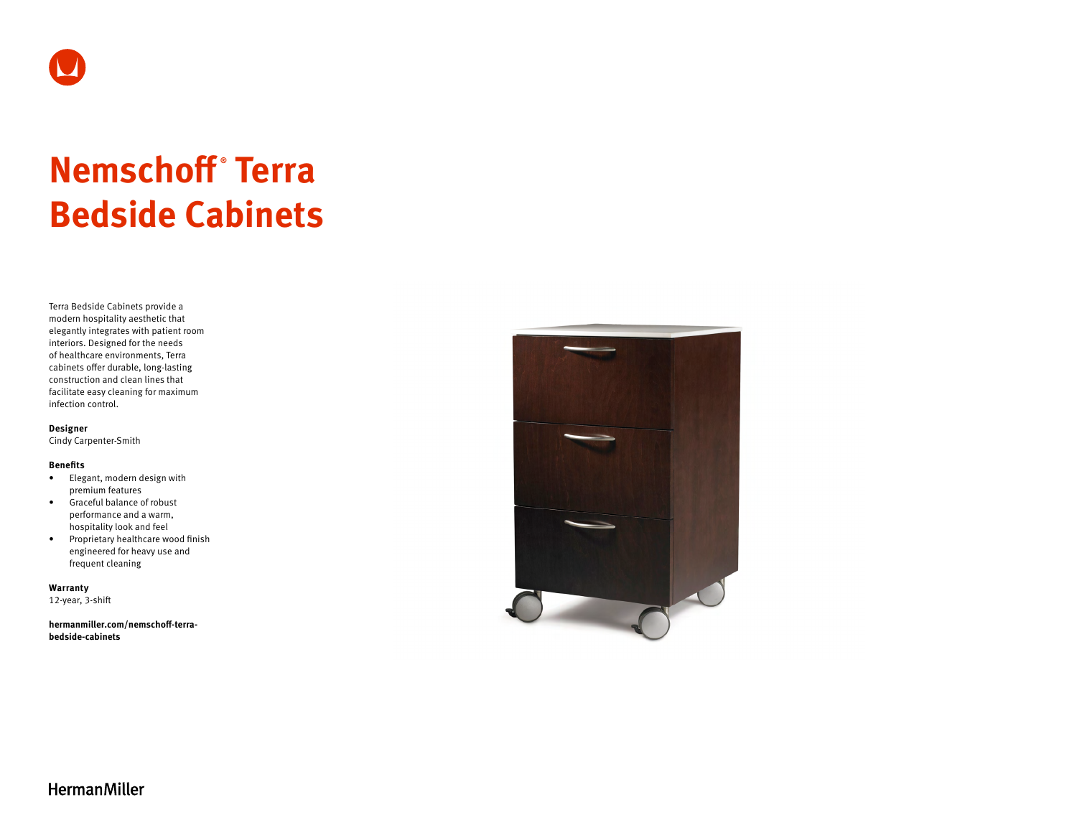

# **Nemschoff ® Terra Bedside Cabinets**

Terra Bedside Cabinets provide a modern hospitality aesthetic that elegantly integrates with patient room interiors. Designed for the needs of healthcare environments, Terra cabinets offer durable, long-lasting construction and clean lines that facilitate easy cleaning for maximum infection control.

**Designer** 

Cindy Carpenter-Smith

#### **Benefits**

- Elegant, modern design with premium features
- Graceful balance of robust performance and a warm, hospitality look and feel
- Proprietary healthcare wood finish engineered for heavy use and frequent cleaning

**Warranty**  12-year, 3-shift

**[hermanmiller.com/nemschoff-terra](http://hermanmiller.com/nemschoff-terra-bedside-cabinets)[bedside-cabinets](http://hermanmiller.com/nemschoff-terra-bedside-cabinets)**